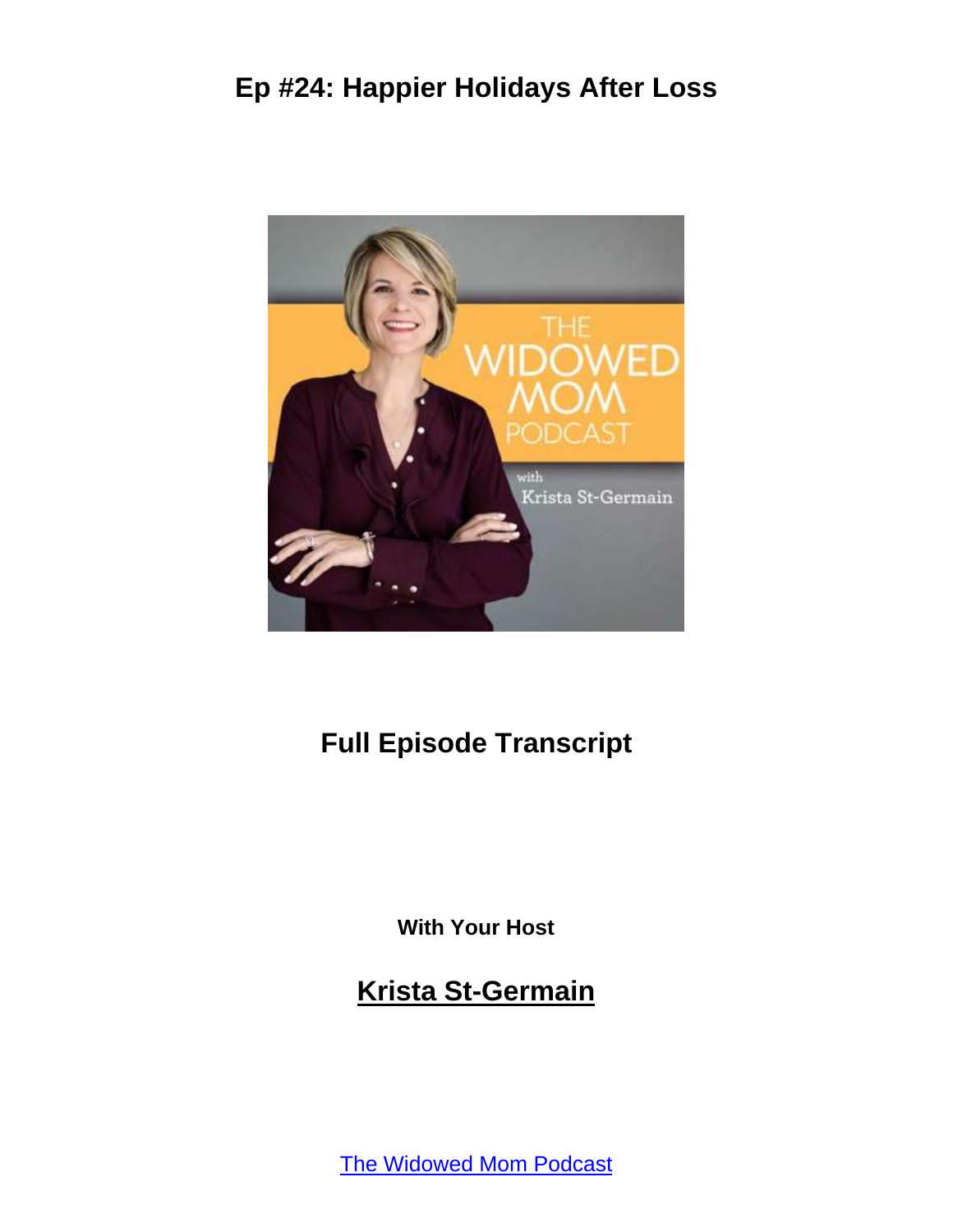

#### **Full Episode Transcript**

**With Your Host**

**Krista St-Germain**

[The Widowed Mom Podcast](https://coachingwithkrista.com/podcast)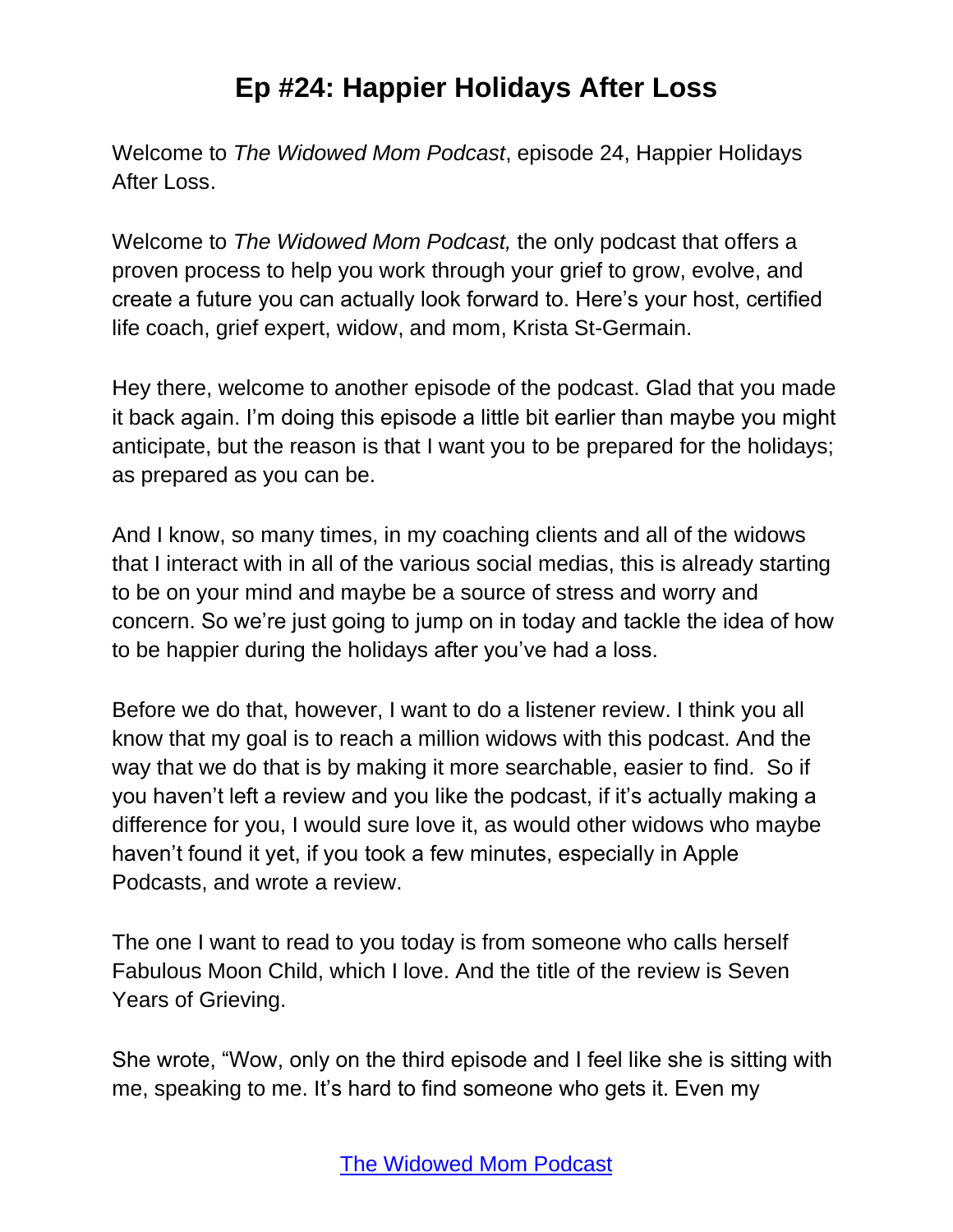Welcome to *The Widowed Mom Podcast*, episode 24, Happier Holidays After Loss.

Welcome to *The Widowed Mom Podcast,* the only podcast that offers a proven process to help you work through your grief to grow, evolve, and create a future you can actually look forward to. Here's your host, certified life coach, grief expert, widow, and mom, Krista St-Germain.

Hey there, welcome to another episode of the podcast. Glad that you made it back again. I'm doing this episode a little bit earlier than maybe you might anticipate, but the reason is that I want you to be prepared for the holidays; as prepared as you can be.

And I know, so many times, in my coaching clients and all of the widows that I interact with in all of the various social medias, this is already starting to be on your mind and maybe be a source of stress and worry and concern. So we're just going to jump on in today and tackle the idea of how to be happier during the holidays after you've had a loss.

Before we do that, however, I want to do a listener review. I think you all know that my goal is to reach a million widows with this podcast. And the way that we do that is by making it more searchable, easier to find. So if you haven't left a review and you like the podcast, if it's actually making a difference for you, I would sure love it, as would other widows who maybe haven't found it yet, if you took a few minutes, especially in Apple Podcasts, and wrote a review.

The one I want to read to you today is from someone who calls herself Fabulous Moon Child, which I love. And the title of the review is Seven Years of Grieving.

She wrote, "Wow, only on the third episode and I feel like she is sitting with me, speaking to me. It's hard to find someone who gets it. Even my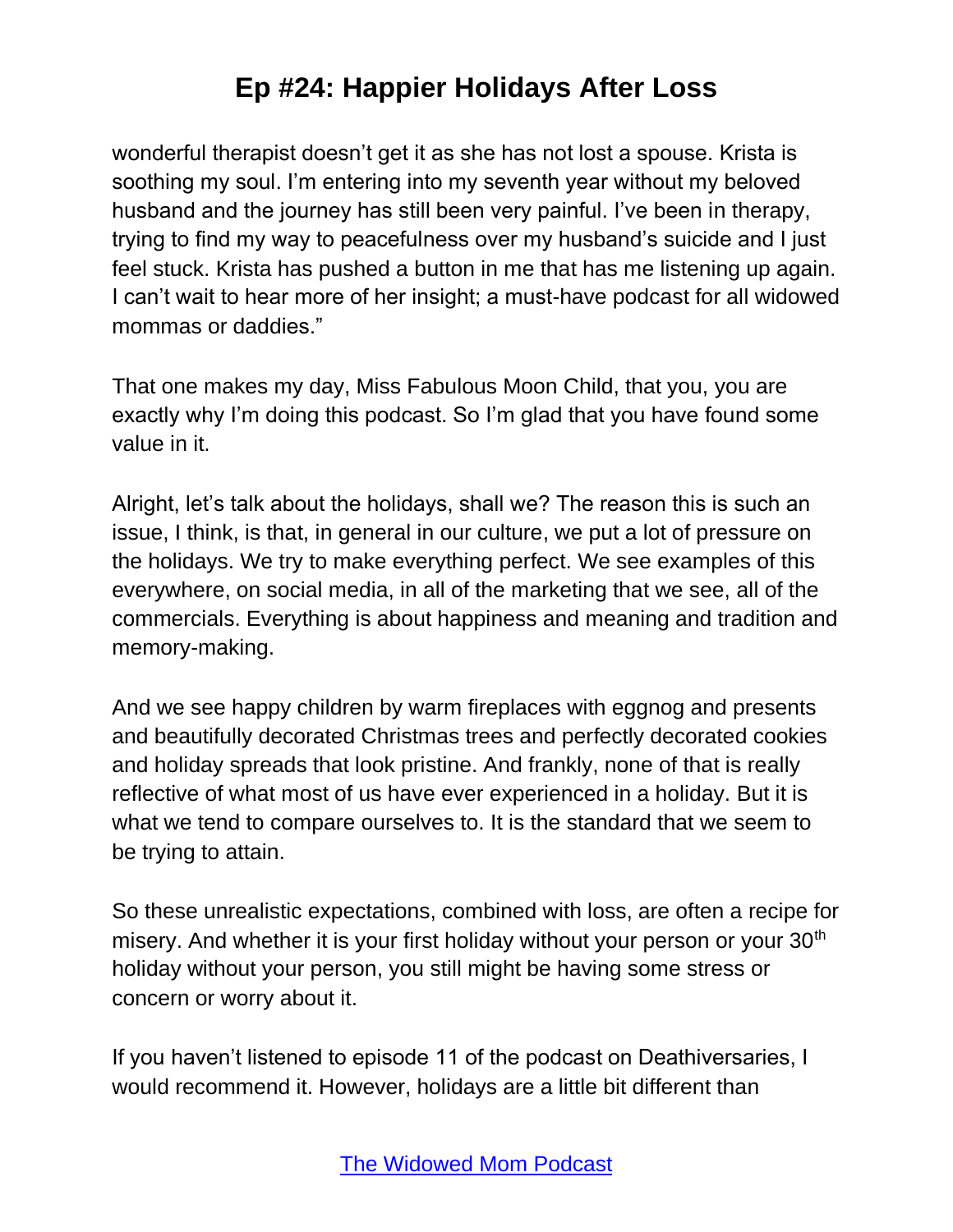wonderful therapist doesn't get it as she has not lost a spouse. Krista is soothing my soul. I'm entering into my seventh year without my beloved husband and the journey has still been very painful. I've been in therapy, trying to find my way to peacefulness over my husband's suicide and I just feel stuck. Krista has pushed a button in me that has me listening up again. I can't wait to hear more of her insight; a must-have podcast for all widowed mommas or daddies."

That one makes my day, Miss Fabulous Moon Child, that you, you are exactly why I'm doing this podcast. So I'm glad that you have found some value in it.

Alright, let's talk about the holidays, shall we? The reason this is such an issue, I think, is that, in general in our culture, we put a lot of pressure on the holidays. We try to make everything perfect. We see examples of this everywhere, on social media, in all of the marketing that we see, all of the commercials. Everything is about happiness and meaning and tradition and memory-making.

And we see happy children by warm fireplaces with eggnog and presents and beautifully decorated Christmas trees and perfectly decorated cookies and holiday spreads that look pristine. And frankly, none of that is really reflective of what most of us have ever experienced in a holiday. But it is what we tend to compare ourselves to. It is the standard that we seem to be trying to attain.

So these unrealistic expectations, combined with loss, are often a recipe for misery. And whether it is your first holiday without your person or your 30<sup>th</sup> holiday without your person, you still might be having some stress or concern or worry about it.

If you haven't listened to episode 11 of the podcast on Deathiversaries, I would recommend it. However, holidays are a little bit different than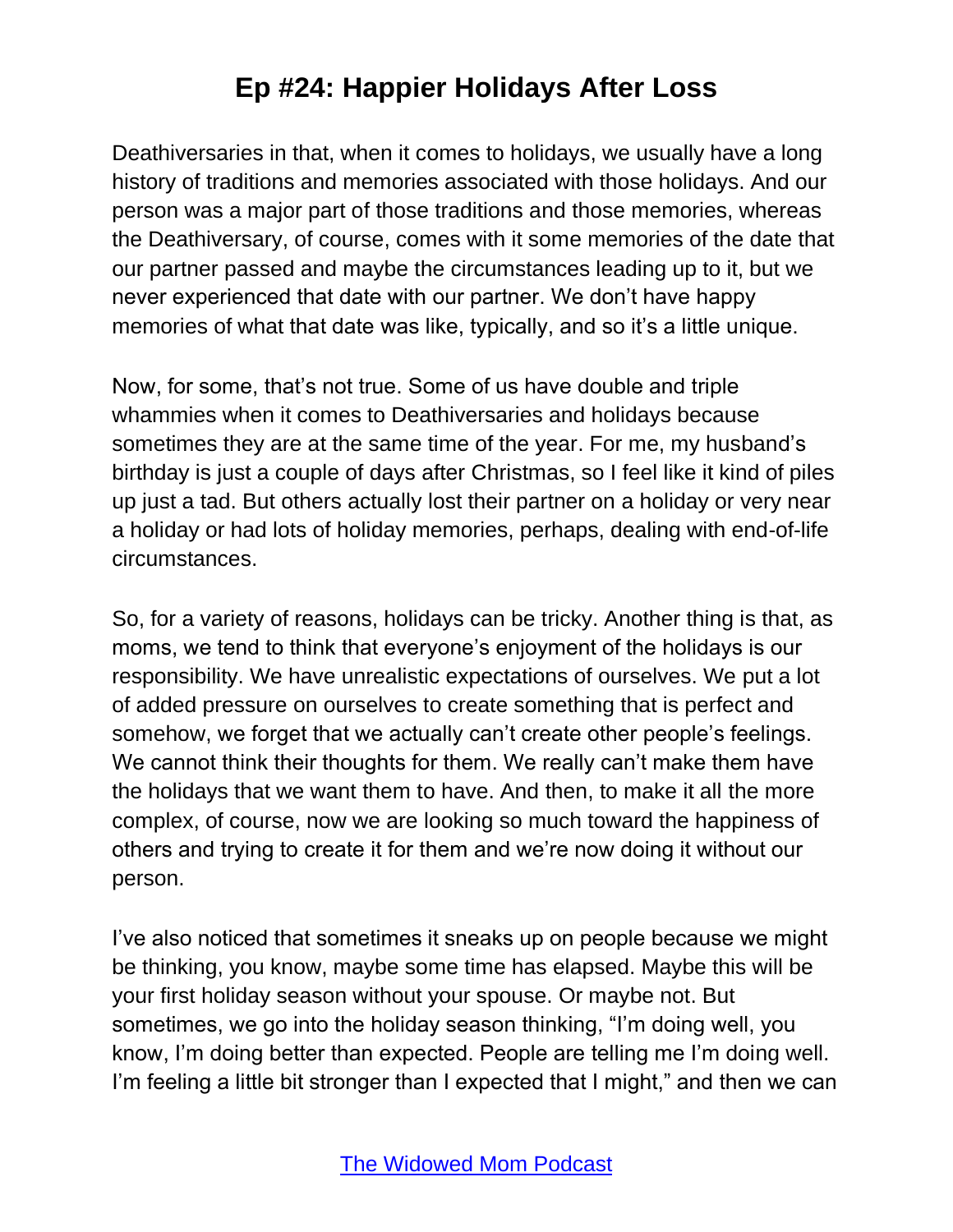Deathiversaries in that, when it comes to holidays, we usually have a long history of traditions and memories associated with those holidays. And our person was a major part of those traditions and those memories, whereas the Deathiversary, of course, comes with it some memories of the date that our partner passed and maybe the circumstances leading up to it, but we never experienced that date with our partner. We don't have happy memories of what that date was like, typically, and so it's a little unique.

Now, for some, that's not true. Some of us have double and triple whammies when it comes to Deathiversaries and holidays because sometimes they are at the same time of the year. For me, my husband's birthday is just a couple of days after Christmas, so I feel like it kind of piles up just a tad. But others actually lost their partner on a holiday or very near a holiday or had lots of holiday memories, perhaps, dealing with end-of-life circumstances.

So, for a variety of reasons, holidays can be tricky. Another thing is that, as moms, we tend to think that everyone's enjoyment of the holidays is our responsibility. We have unrealistic expectations of ourselves. We put a lot of added pressure on ourselves to create something that is perfect and somehow, we forget that we actually can't create other people's feelings. We cannot think their thoughts for them. We really can't make them have the holidays that we want them to have. And then, to make it all the more complex, of course, now we are looking so much toward the happiness of others and trying to create it for them and we're now doing it without our person.

I've also noticed that sometimes it sneaks up on people because we might be thinking, you know, maybe some time has elapsed. Maybe this will be your first holiday season without your spouse. Or maybe not. But sometimes, we go into the holiday season thinking, "I'm doing well, you know, I'm doing better than expected. People are telling me I'm doing well. I'm feeling a little bit stronger than I expected that I might," and then we can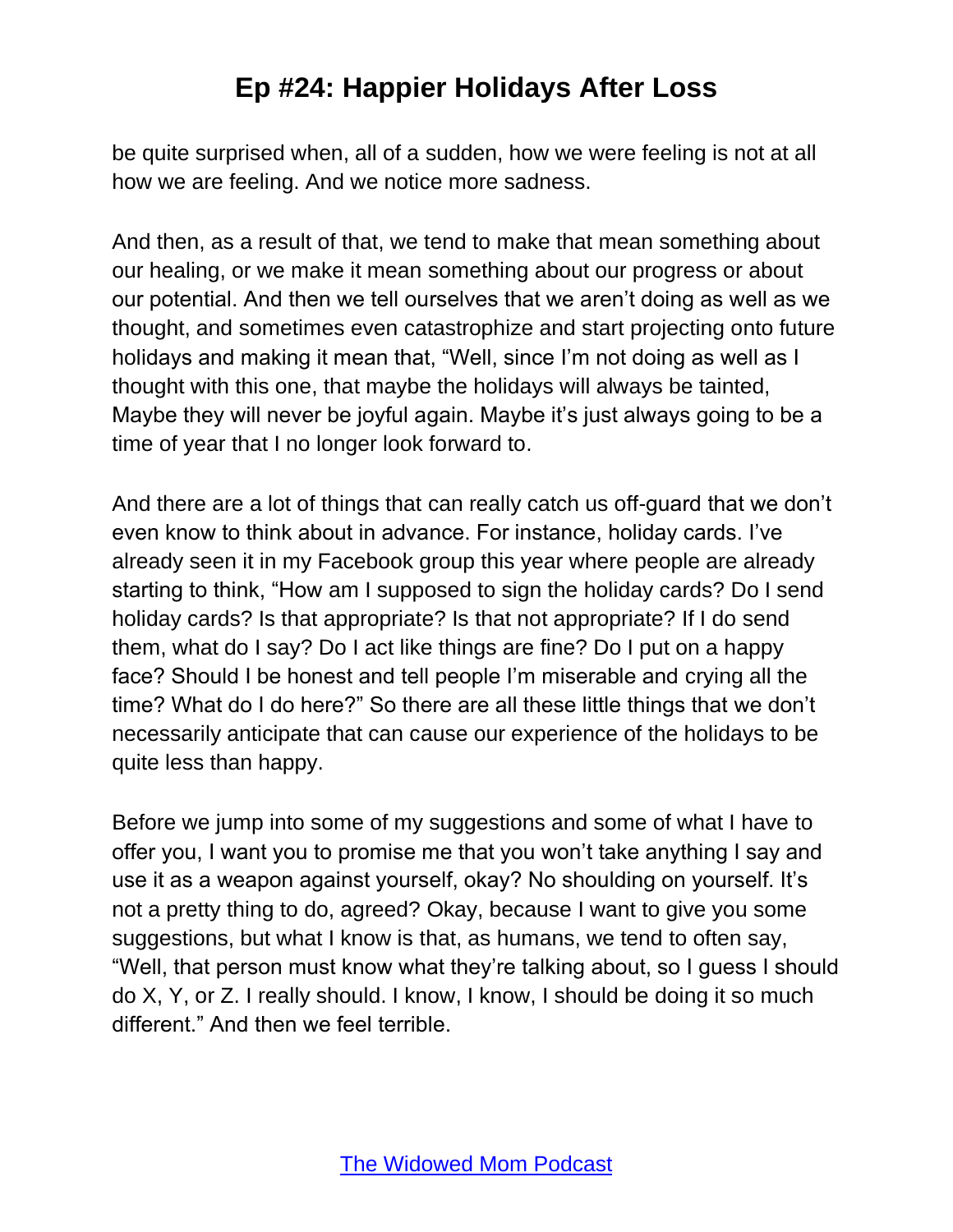be quite surprised when, all of a sudden, how we were feeling is not at all how we are feeling. And we notice more sadness.

And then, as a result of that, we tend to make that mean something about our healing, or we make it mean something about our progress or about our potential. And then we tell ourselves that we aren't doing as well as we thought, and sometimes even catastrophize and start projecting onto future holidays and making it mean that, "Well, since I'm not doing as well as I thought with this one, that maybe the holidays will always be tainted, Maybe they will never be joyful again. Maybe it's just always going to be a time of year that I no longer look forward to.

And there are a lot of things that can really catch us off-guard that we don't even know to think about in advance. For instance, holiday cards. I've already seen it in my Facebook group this year where people are already starting to think, "How am I supposed to sign the holiday cards? Do I send holiday cards? Is that appropriate? Is that not appropriate? If I do send them, what do I say? Do I act like things are fine? Do I put on a happy face? Should I be honest and tell people I'm miserable and crying all the time? What do I do here?" So there are all these little things that we don't necessarily anticipate that can cause our experience of the holidays to be quite less than happy.

Before we jump into some of my suggestions and some of what I have to offer you, I want you to promise me that you won't take anything I say and use it as a weapon against yourself, okay? No shoulding on yourself. It's not a pretty thing to do, agreed? Okay, because I want to give you some suggestions, but what I know is that, as humans, we tend to often say, "Well, that person must know what they're talking about, so I guess I should do X, Y, or Z. I really should. I know, I know, I should be doing it so much different." And then we feel terrible.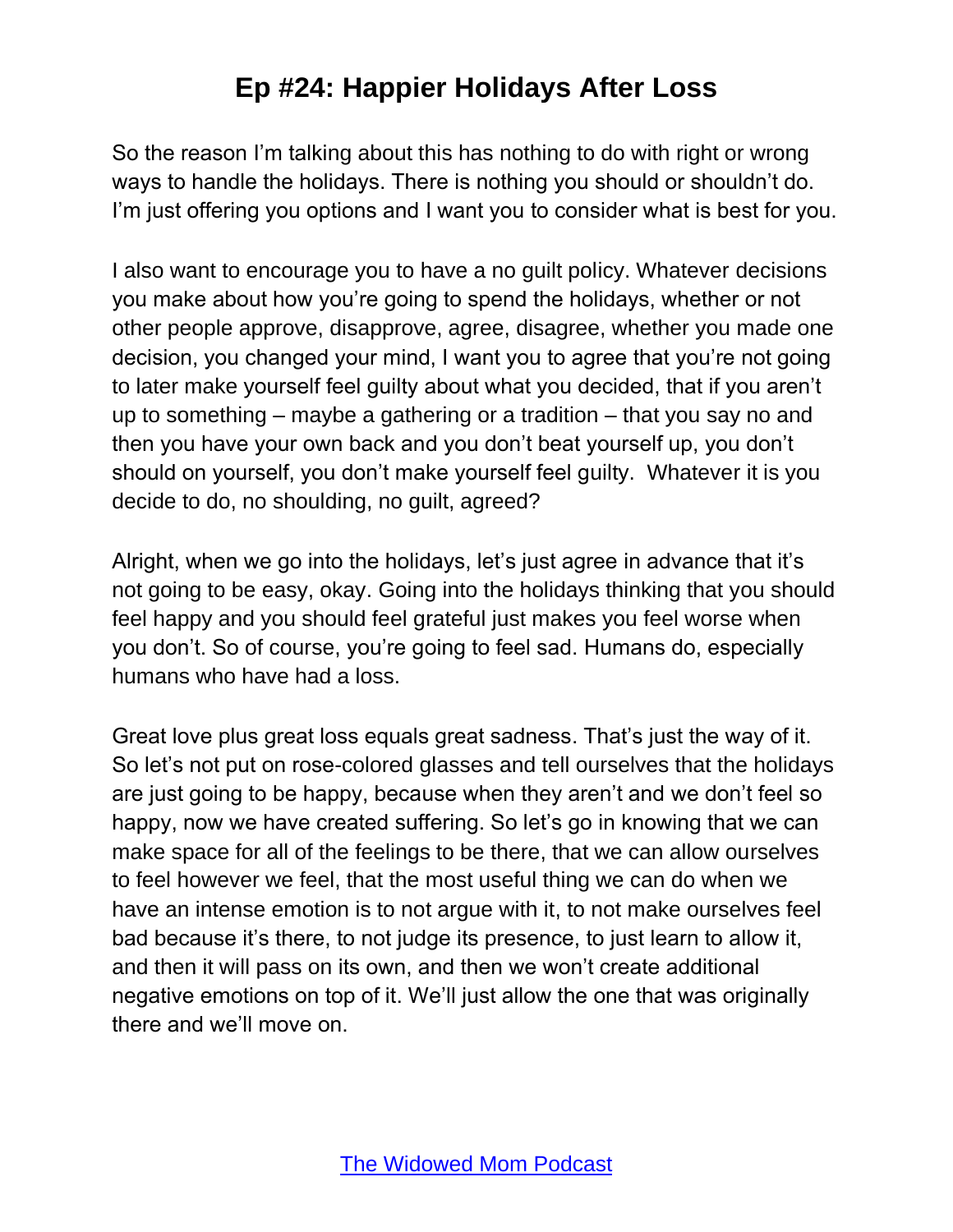So the reason I'm talking about this has nothing to do with right or wrong ways to handle the holidays. There is nothing you should or shouldn't do. I'm just offering you options and I want you to consider what is best for you.

I also want to encourage you to have a no guilt policy. Whatever decisions you make about how you're going to spend the holidays, whether or not other people approve, disapprove, agree, disagree, whether you made one decision, you changed your mind, I want you to agree that you're not going to later make yourself feel guilty about what you decided, that if you aren't up to something – maybe a gathering or a tradition – that you say no and then you have your own back and you don't beat yourself up, you don't should on yourself, you don't make yourself feel guilty. Whatever it is you decide to do, no shoulding, no guilt, agreed?

Alright, when we go into the holidays, let's just agree in advance that it's not going to be easy, okay. Going into the holidays thinking that you should feel happy and you should feel grateful just makes you feel worse when you don't. So of course, you're going to feel sad. Humans do, especially humans who have had a loss.

Great love plus great loss equals great sadness. That's just the way of it. So let's not put on rose-colored glasses and tell ourselves that the holidays are just going to be happy, because when they aren't and we don't feel so happy, now we have created suffering. So let's go in knowing that we can make space for all of the feelings to be there, that we can allow ourselves to feel however we feel, that the most useful thing we can do when we have an intense emotion is to not argue with it, to not make ourselves feel bad because it's there, to not judge its presence, to just learn to allow it, and then it will pass on its own, and then we won't create additional negative emotions on top of it. We'll just allow the one that was originally there and we'll move on.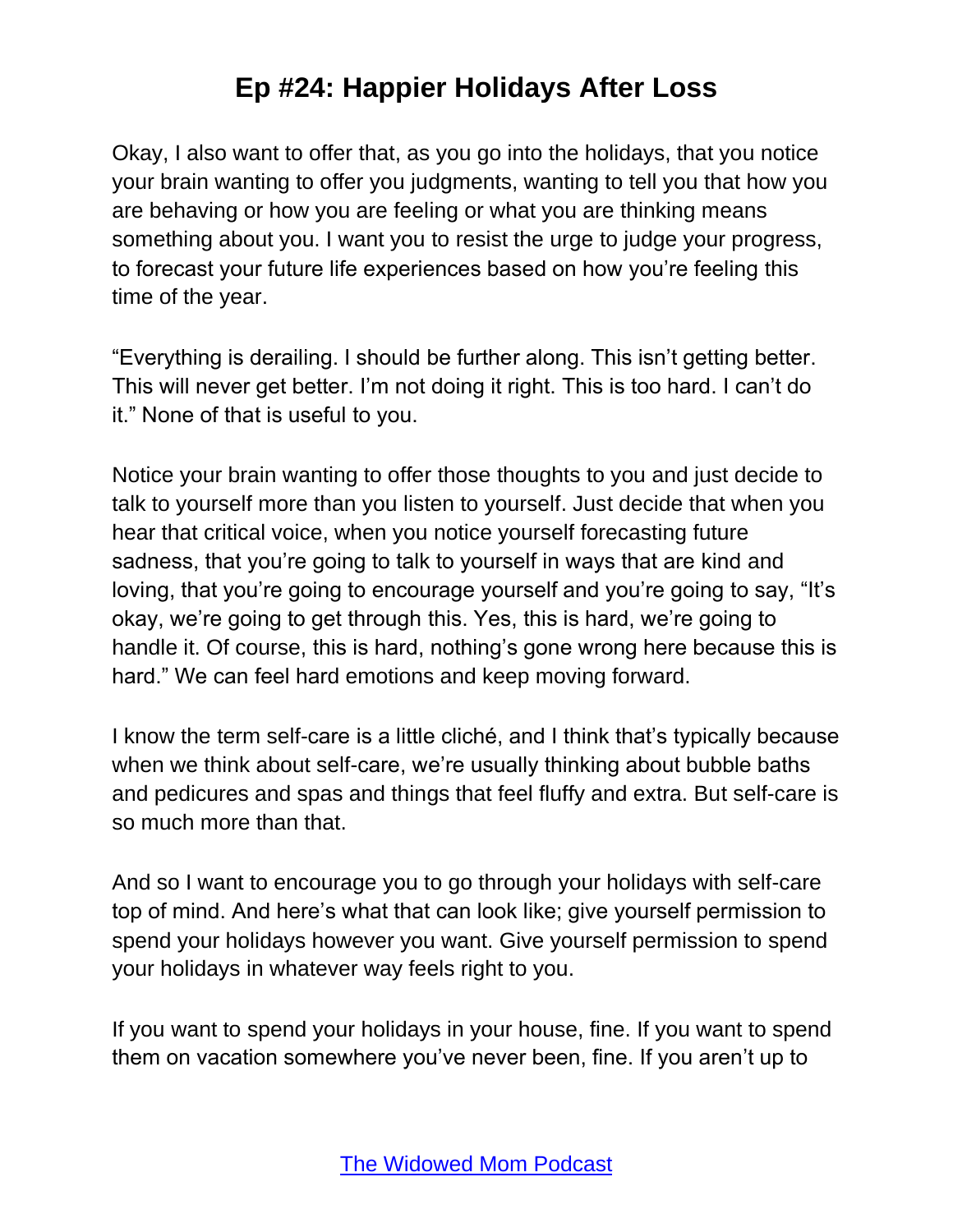Okay, I also want to offer that, as you go into the holidays, that you notice your brain wanting to offer you judgments, wanting to tell you that how you are behaving or how you are feeling or what you are thinking means something about you. I want you to resist the urge to judge your progress, to forecast your future life experiences based on how you're feeling this time of the year.

"Everything is derailing. I should be further along. This isn't getting better. This will never get better. I'm not doing it right. This is too hard. I can't do it." None of that is useful to you.

Notice your brain wanting to offer those thoughts to you and just decide to talk to yourself more than you listen to yourself. Just decide that when you hear that critical voice, when you notice yourself forecasting future sadness, that you're going to talk to yourself in ways that are kind and loving, that you're going to encourage yourself and you're going to say, "It's okay, we're going to get through this. Yes, this is hard, we're going to handle it. Of course, this is hard, nothing's gone wrong here because this is hard." We can feel hard emotions and keep moving forward.

I know the term self-care is a little cliché, and I think that's typically because when we think about self-care, we're usually thinking about bubble baths and pedicures and spas and things that feel fluffy and extra. But self-care is so much more than that.

And so I want to encourage you to go through your holidays with self-care top of mind. And here's what that can look like; give yourself permission to spend your holidays however you want. Give yourself permission to spend your holidays in whatever way feels right to you.

If you want to spend your holidays in your house, fine. If you want to spend them on vacation somewhere you've never been, fine. If you aren't up to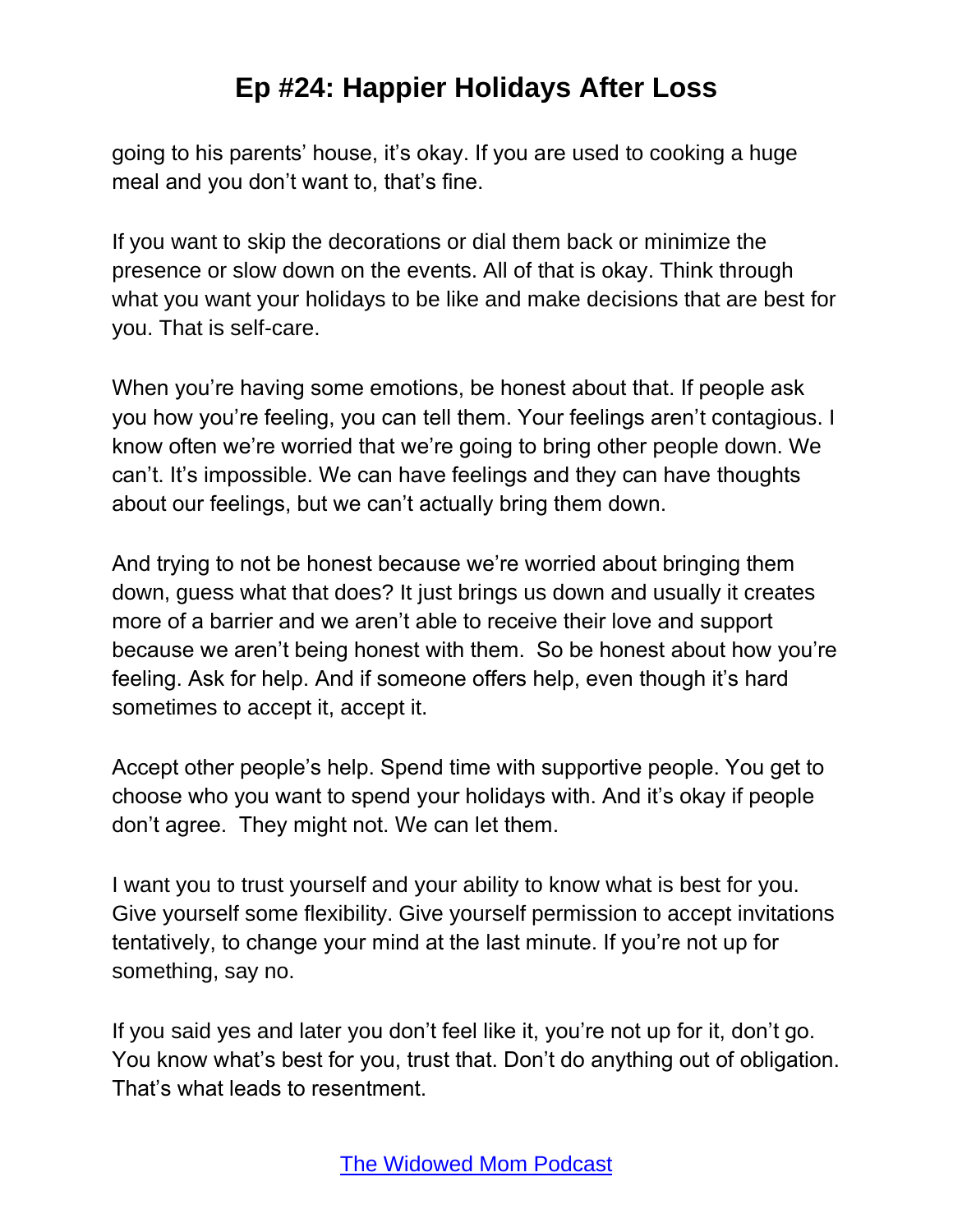going to his parents' house, it's okay. If you are used to cooking a huge meal and you don't want to, that's fine.

If you want to skip the decorations or dial them back or minimize the presence or slow down on the events. All of that is okay. Think through what you want your holidays to be like and make decisions that are best for you. That is self-care.

When you're having some emotions, be honest about that. If people ask you how you're feeling, you can tell them. Your feelings aren't contagious. I know often we're worried that we're going to bring other people down. We can't. It's impossible. We can have feelings and they can have thoughts about our feelings, but we can't actually bring them down.

And trying to not be honest because we're worried about bringing them down, guess what that does? It just brings us down and usually it creates more of a barrier and we aren't able to receive their love and support because we aren't being honest with them. So be honest about how you're feeling. Ask for help. And if someone offers help, even though it's hard sometimes to accept it, accept it.

Accept other people's help. Spend time with supportive people. You get to choose who you want to spend your holidays with. And it's okay if people don't agree. They might not. We can let them.

I want you to trust yourself and your ability to know what is best for you. Give yourself some flexibility. Give yourself permission to accept invitations tentatively, to change your mind at the last minute. If you're not up for something, say no.

If you said yes and later you don't feel like it, you're not up for it, don't go. You know what's best for you, trust that. Don't do anything out of obligation. That's what leads to resentment.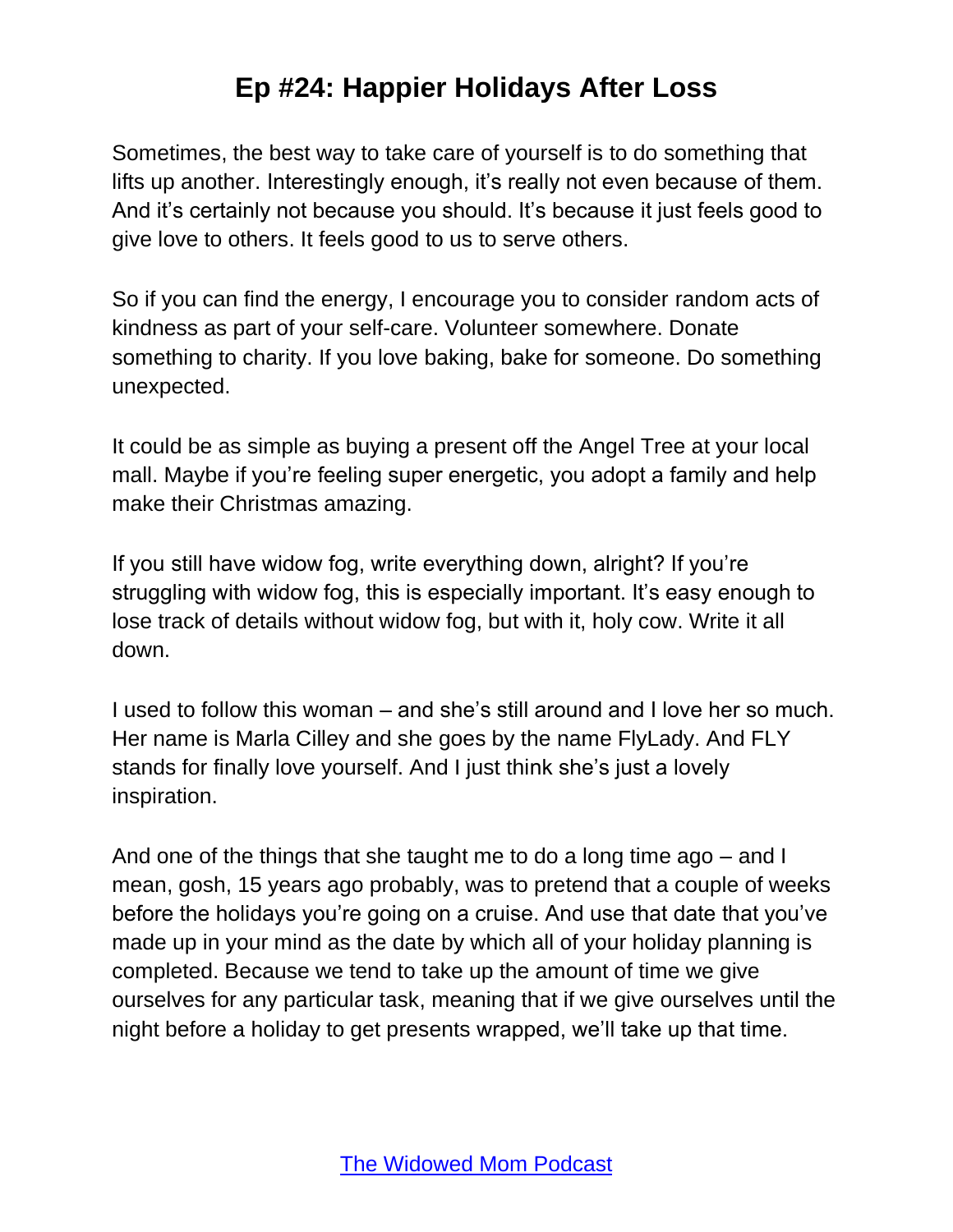Sometimes, the best way to take care of yourself is to do something that lifts up another. Interestingly enough, it's really not even because of them. And it's certainly not because you should. It's because it just feels good to give love to others. It feels good to us to serve others.

So if you can find the energy, I encourage you to consider random acts of kindness as part of your self-care. Volunteer somewhere. Donate something to charity. If you love baking, bake for someone. Do something unexpected.

It could be as simple as buying a present off the Angel Tree at your local mall. Maybe if you're feeling super energetic, you adopt a family and help make their Christmas amazing.

If you still have widow fog, write everything down, alright? If you're struggling with widow fog, this is especially important. It's easy enough to lose track of details without widow fog, but with it, holy cow. Write it all down.

I used to follow this woman – and she's still around and I love her so much. Her name is Marla Cilley and she goes by the name FlyLady. And FLY stands for finally love yourself. And I just think she's just a lovely inspiration.

And one of the things that she taught me to do a long time ago – and I mean, gosh, 15 years ago probably, was to pretend that a couple of weeks before the holidays you're going on a cruise. And use that date that you've made up in your mind as the date by which all of your holiday planning is completed. Because we tend to take up the amount of time we give ourselves for any particular task, meaning that if we give ourselves until the night before a holiday to get presents wrapped, we'll take up that time.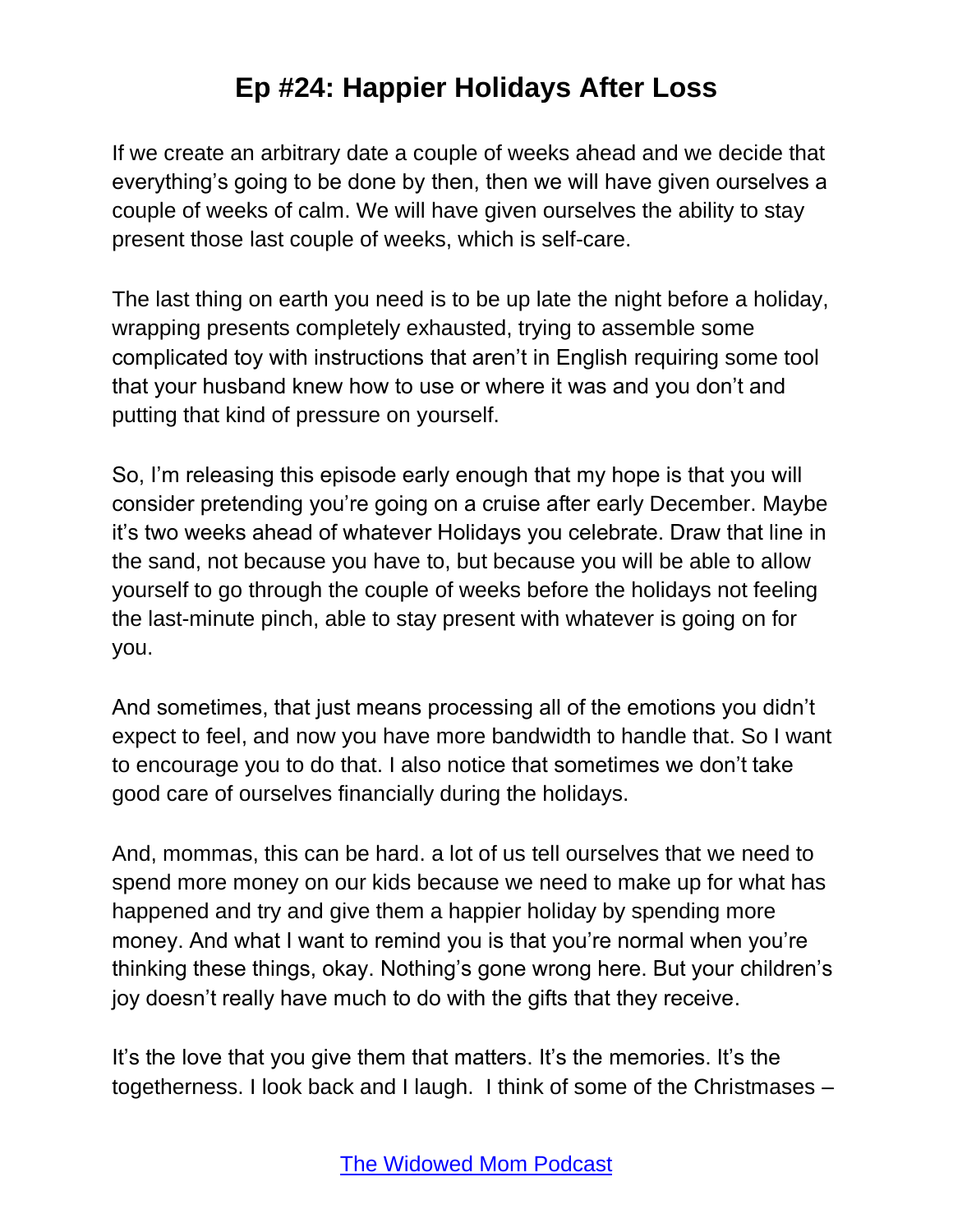If we create an arbitrary date a couple of weeks ahead and we decide that everything's going to be done by then, then we will have given ourselves a couple of weeks of calm. We will have given ourselves the ability to stay present those last couple of weeks, which is self-care.

The last thing on earth you need is to be up late the night before a holiday, wrapping presents completely exhausted, trying to assemble some complicated toy with instructions that aren't in English requiring some tool that your husband knew how to use or where it was and you don't and putting that kind of pressure on yourself.

So, I'm releasing this episode early enough that my hope is that you will consider pretending you're going on a cruise after early December. Maybe it's two weeks ahead of whatever Holidays you celebrate. Draw that line in the sand, not because you have to, but because you will be able to allow yourself to go through the couple of weeks before the holidays not feeling the last-minute pinch, able to stay present with whatever is going on for you.

And sometimes, that just means processing all of the emotions you didn't expect to feel, and now you have more bandwidth to handle that. So I want to encourage you to do that. I also notice that sometimes we don't take good care of ourselves financially during the holidays.

And, mommas, this can be hard. a lot of us tell ourselves that we need to spend more money on our kids because we need to make up for what has happened and try and give them a happier holiday by spending more money. And what I want to remind you is that you're normal when you're thinking these things, okay. Nothing's gone wrong here. But your children's joy doesn't really have much to do with the gifts that they receive.

It's the love that you give them that matters. It's the memories. It's the togetherness. I look back and I laugh. I think of some of the Christmases –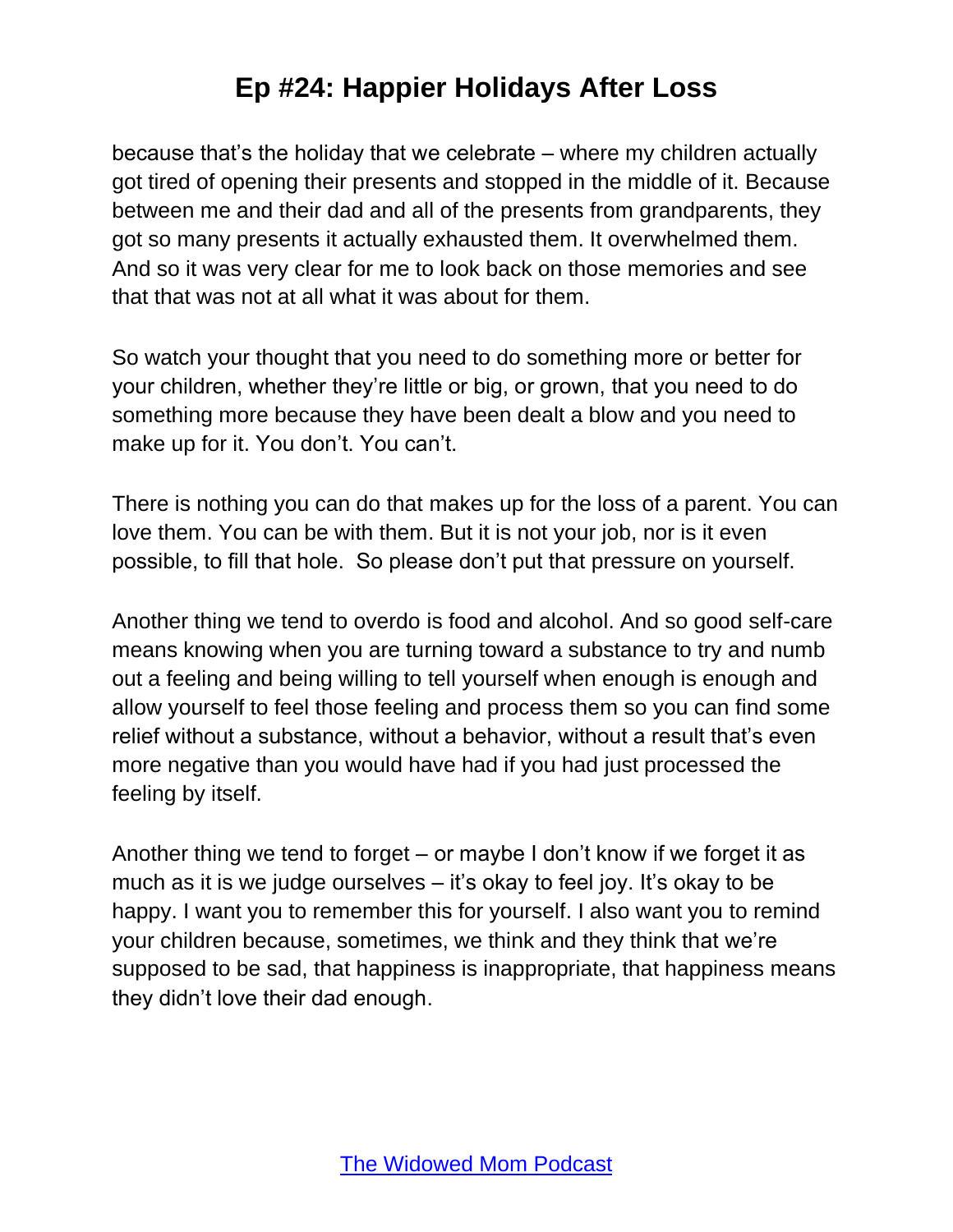because that's the holiday that we celebrate – where my children actually got tired of opening their presents and stopped in the middle of it. Because between me and their dad and all of the presents from grandparents, they got so many presents it actually exhausted them. It overwhelmed them. And so it was very clear for me to look back on those memories and see that that was not at all what it was about for them.

So watch your thought that you need to do something more or better for your children, whether they're little or big, or grown, that you need to do something more because they have been dealt a blow and you need to make up for it. You don't. You can't.

There is nothing you can do that makes up for the loss of a parent. You can love them. You can be with them. But it is not your job, nor is it even possible, to fill that hole. So please don't put that pressure on yourself.

Another thing we tend to overdo is food and alcohol. And so good self-care means knowing when you are turning toward a substance to try and numb out a feeling and being willing to tell yourself when enough is enough and allow yourself to feel those feeling and process them so you can find some relief without a substance, without a behavior, without a result that's even more negative than you would have had if you had just processed the feeling by itself.

Another thing we tend to forget – or maybe I don't know if we forget it as much as it is we judge ourselves – it's okay to feel joy. It's okay to be happy. I want you to remember this for yourself. I also want you to remind your children because, sometimes, we think and they think that we're supposed to be sad, that happiness is inappropriate, that happiness means they didn't love their dad enough.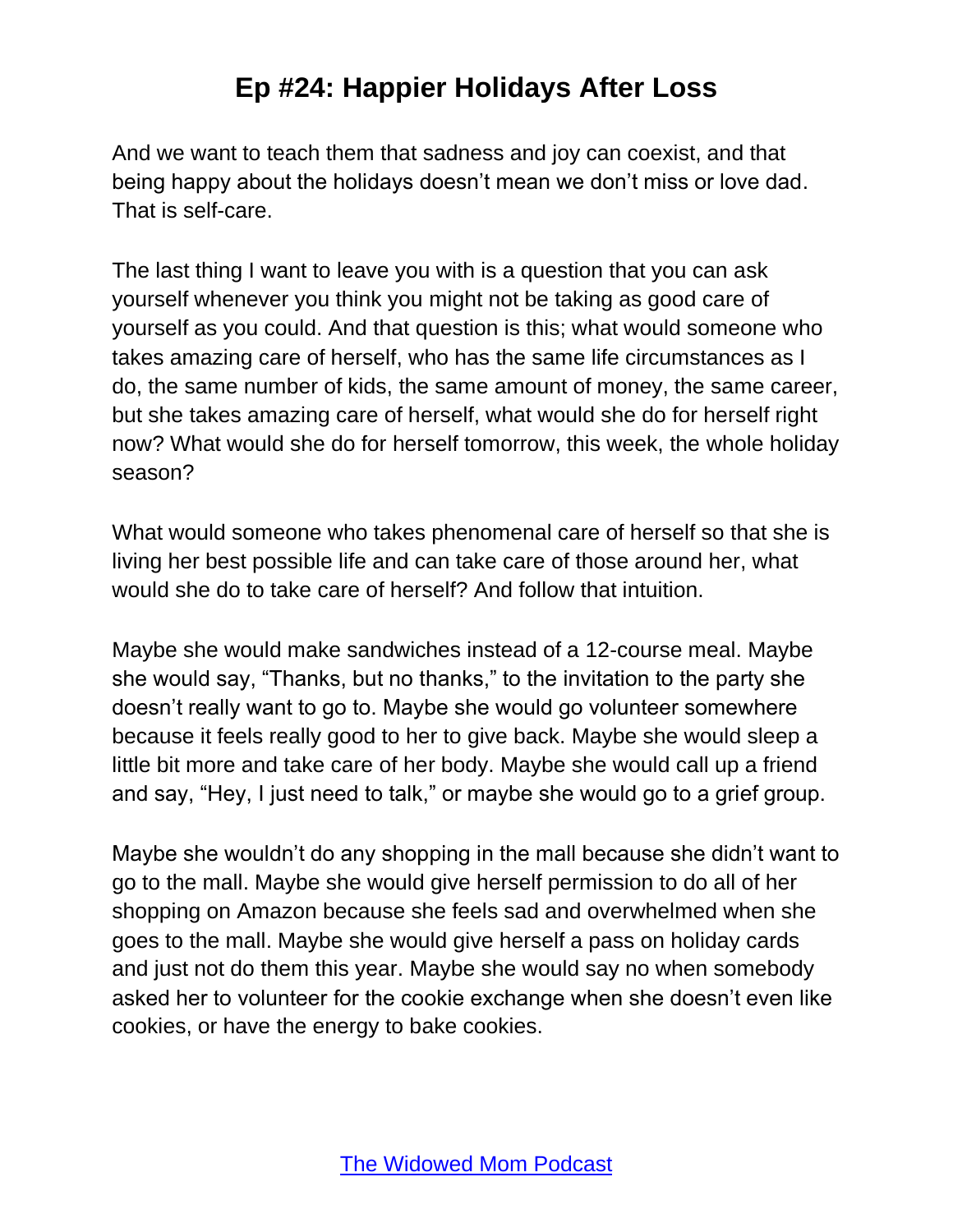And we want to teach them that sadness and joy can coexist, and that being happy about the holidays doesn't mean we don't miss or love dad. That is self-care.

The last thing I want to leave you with is a question that you can ask yourself whenever you think you might not be taking as good care of yourself as you could. And that question is this; what would someone who takes amazing care of herself, who has the same life circumstances as I do, the same number of kids, the same amount of money, the same career, but she takes amazing care of herself, what would she do for herself right now? What would she do for herself tomorrow, this week, the whole holiday season?

What would someone who takes phenomenal care of herself so that she is living her best possible life and can take care of those around her, what would she do to take care of herself? And follow that intuition.

Maybe she would make sandwiches instead of a 12-course meal. Maybe she would say, "Thanks, but no thanks," to the invitation to the party she doesn't really want to go to. Maybe she would go volunteer somewhere because it feels really good to her to give back. Maybe she would sleep a little bit more and take care of her body. Maybe she would call up a friend and say, "Hey, I just need to talk," or maybe she would go to a grief group.

Maybe she wouldn't do any shopping in the mall because she didn't want to go to the mall. Maybe she would give herself permission to do all of her shopping on Amazon because she feels sad and overwhelmed when she goes to the mall. Maybe she would give herself a pass on holiday cards and just not do them this year. Maybe she would say no when somebody asked her to volunteer for the cookie exchange when she doesn't even like cookies, or have the energy to bake cookies.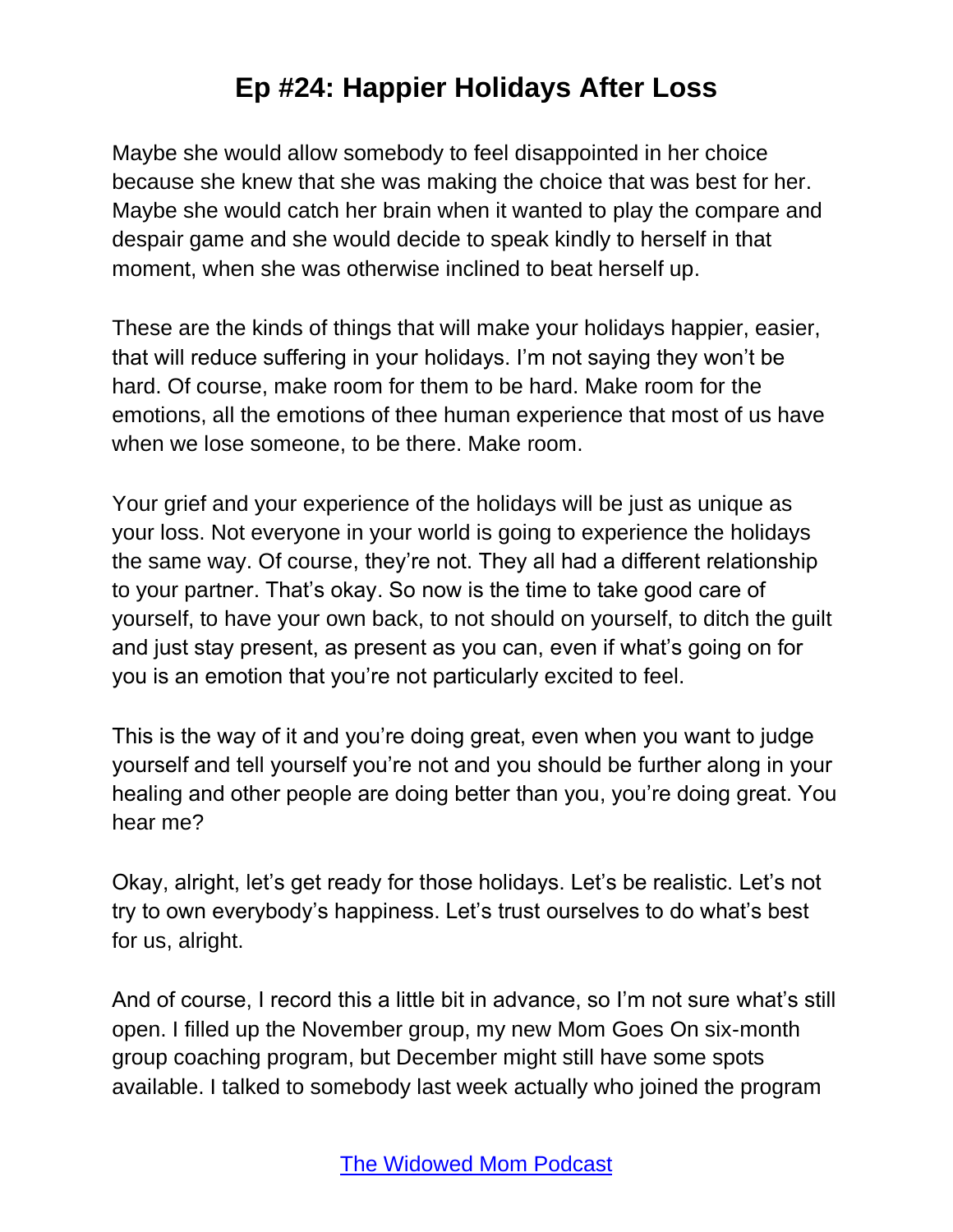Maybe she would allow somebody to feel disappointed in her choice because she knew that she was making the choice that was best for her. Maybe she would catch her brain when it wanted to play the compare and despair game and she would decide to speak kindly to herself in that moment, when she was otherwise inclined to beat herself up.

These are the kinds of things that will make your holidays happier, easier, that will reduce suffering in your holidays. I'm not saying they won't be hard. Of course, make room for them to be hard. Make room for the emotions, all the emotions of thee human experience that most of us have when we lose someone, to be there. Make room.

Your grief and your experience of the holidays will be just as unique as your loss. Not everyone in your world is going to experience the holidays the same way. Of course, they're not. They all had a different relationship to your partner. That's okay. So now is the time to take good care of yourself, to have your own back, to not should on yourself, to ditch the guilt and just stay present, as present as you can, even if what's going on for you is an emotion that you're not particularly excited to feel.

This is the way of it and you're doing great, even when you want to judge yourself and tell yourself you're not and you should be further along in your healing and other people are doing better than you, you're doing great. You hear me?

Okay, alright, let's get ready for those holidays. Let's be realistic. Let's not try to own everybody's happiness. Let's trust ourselves to do what's best for us, alright.

And of course, I record this a little bit in advance, so I'm not sure what's still open. I filled up the November group, my new Mom Goes On six-month group coaching program, but December might still have some spots available. I talked to somebody last week actually who joined the program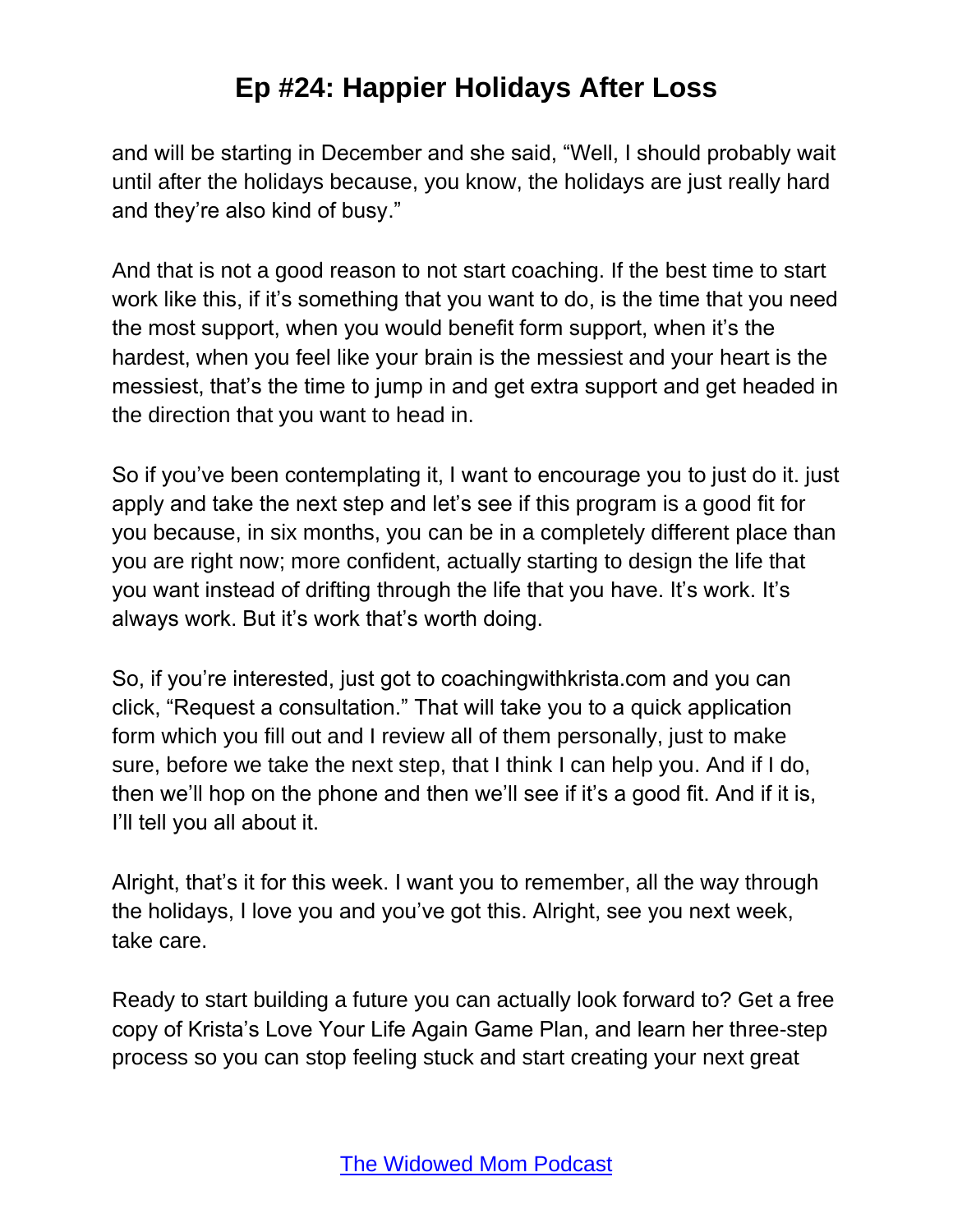and will be starting in December and she said, "Well, I should probably wait until after the holidays because, you know, the holidays are just really hard and they're also kind of busy."

And that is not a good reason to not start coaching. If the best time to start work like this, if it's something that you want to do, is the time that you need the most support, when you would benefit form support, when it's the hardest, when you feel like your brain is the messiest and your heart is the messiest, that's the time to jump in and get extra support and get headed in the direction that you want to head in.

So if you've been contemplating it, I want to encourage you to just do it. just apply and take the next step and let's see if this program is a good fit for you because, in six months, you can be in a completely different place than you are right now; more confident, actually starting to design the life that you want instead of drifting through the life that you have. It's work. It's always work. But it's work that's worth doing.

So, if you're interested, just got to coachingwithkrista.com and you can click, "Request a consultation." That will take you to a quick application form which you fill out and I review all of them personally, just to make sure, before we take the next step, that I think I can help you. And if I do, then we'll hop on the phone and then we'll see if it's a good fit. And if it is, I'll tell you all about it.

Alright, that's it for this week. I want you to remember, all the way through the holidays, I love you and you've got this. Alright, see you next week, take care.

Ready to start building a future you can actually look forward to? Get a free copy of Krista's Love Your Life Again Game Plan, and learn her three-step process so you can stop feeling stuck and start creating your next great